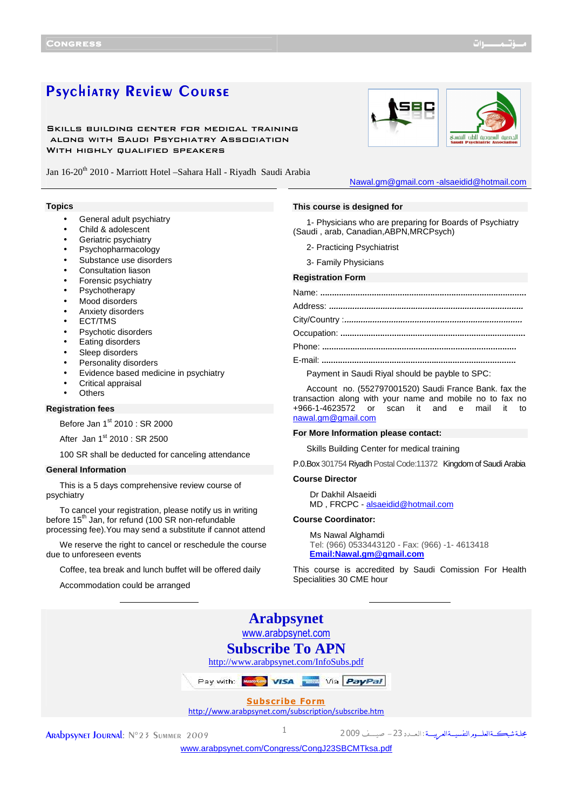# Psychiatry Review Course

Skills building center for medical training along with Saudi Psychiatry Association WITH HIGHLY QUALIFIED SPEAKERS

Jan 16-20<sup>th</sup> 2010 - Marriott Hotel - Sahara Hall - Riyadh Saudi Arabia

### **Topics**

- General adult psychiatry
- Child & adolescent
- Geriatric psychiatry
- Psychopharmacology
- Substance use disorders
- Consultation liason
- Forensic psychiatry
- **Psychotherapy**
- Mood disorders
- Anxiety disorders
- ECT/TMS
- Psychotic disorders
- Eating disorders
- Sleep disorders
- Personality disorders
- Evidence based medicine in psychiatry
- Critical appraisal
- **Others**

## **Registration fees**

Before Jan 1<sup>st</sup> 2010 : SR 2000

After Jan  $1^{st}$  2010 : SR 2500

100 SR shall be deducted for canceling attendance

## **General Information**

This is a 5 days comprehensive review course of psychiatry

To cancel your registration, please notify us in writing before 15<sup>th</sup> Jan, for refund (100 SR non-refundable processing fee).You may send a substitute if cannot attend

We reserve the right to cancel or reschedule the course due to unforeseen events

Coffee, tea break and lunch buffet will be offered daily

Accommodation could be arranged

# **This course is designed for**

1- Physicians who are preparing for Boards of Psychiatry (Saudi , arab, Canadian,ABPN,MRCPsych)

- 
- 

## **Registration Form**

Payment in Saudi Riyal should be payble to SPC:

Account no. (552797001520) Saudi France Bank. fax the transaction along with your name and mobile no to fax no<br>+966-1-4623572 or scan it and e mail it to or scan it and e mail it to nawal.gm@gmail.com

#### **For More Information please contact:**

Skills Building Center for medical training

P.0.Box 301754 Riyadh Postal Code:11372 Kingdom of Saudi Arabia

# **Course Director**

Dr Dakhil Alsaeidi MD , FRCPC - alsaeidid@hotmail.com

### **Course Coordinator:**

Ms Nawal Alghamdi Tel: (966) 0533443120 - Fax: (966) -1- 4613418 **Email:Nawal.gm@gmail.com**

This course is accredited by Saudi Comission For Health Specialities 30 CME hour

|                                                                               | <b>Arabpsynet</b>  |                                                           |  |
|-------------------------------------------------------------------------------|--------------------|-----------------------------------------------------------|--|
|                                                                               | www.arabpsynet.com |                                                           |  |
| <b>Subscribe To APN</b><br>http://www.arabpsynet.com/InfoSubs.pdf             |                    |                                                           |  |
|                                                                               |                    |                                                           |  |
| Pay with: <b>Western VISA</b> Via <b>PayPal</b>                               |                    |                                                           |  |
| <b>Subscribe Form</b><br>http://www.arabpsynet.com/subscription/subscribe.htm |                    |                                                           |  |
|                                                                               |                    |                                                           |  |
| ARADDSYNET JOURNAL: Nº23 SUMMER 2009                                          |                    | مجلة شبكة العلوم النفسيسة العربيسة: العسدد 23 - صيسف 2009 |  |
| www.arabpsynet.com/Congress/CongJ23SBCMTksa.pdf                               |                    |                                                           |  |

سمية الطب النفسي

2- Practicing Psychiatrist 3- Family Physicians

Nawal.gm@gmail.com -alsaeidid@hotmail.com